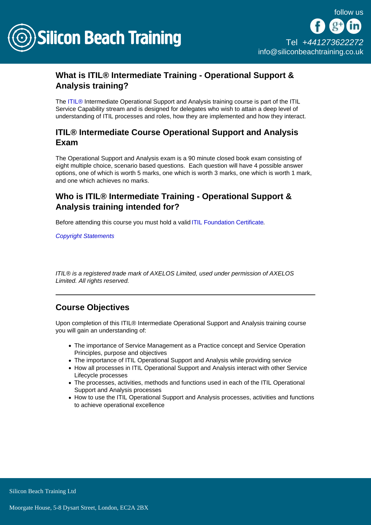

## What is ITIL® Intermediate Training - Operational Support & Analysis training?

The [ITIL®](/itil-training) Intermediate Operational Support and Analysis training course is part of the ITIL Service Capability stream and is designed for delegates who wish to attain a deep level of understanding of ITIL processes and roles, how they are implemented and how they interact.

## ITIL® Intermediate Course Operational Support and Analysis Exam

The Operational Support and Analysis exam is a 90 minute closed book exam consisting of eight multiple choice, scenario based questions. Each question will have 4 possible answer options, one of which is worth 5 marks, one which is worth 3 marks, one which is worth 1 mark, and one which achieves no marks.

#### Who is ITIL® Intermediate Training - Operational Support & Analysis training intended for?

Before attending this course you must hold a valid [ITIL Foundation Certificate.](/itil-training/itil-foundation-training)

[Copyright Statements](/copyright-statements)

ITIL® is a registered trade mark of AXELOS Limited, used under permission of AXELOS Limited. All rights reserved.

## Course Objectives

Upon completion of this ITIL® Intermediate Operational Support and Analysis training course you will gain an understanding of:

- The importance of Service Management as a Practice concept and Service Operation Principles, purpose and objectives
- The importance of ITIL Operational Support and Analysis while providing service
- How all processes in ITIL Operational Support and Analysis interact with other Service Lifecycle processes
- The processes, activities, methods and functions used in each of the ITIL Operational Support and Analysis processes
- How to use the ITIL Operational Support and Analysis processes, activities and functions to achieve operational excellence